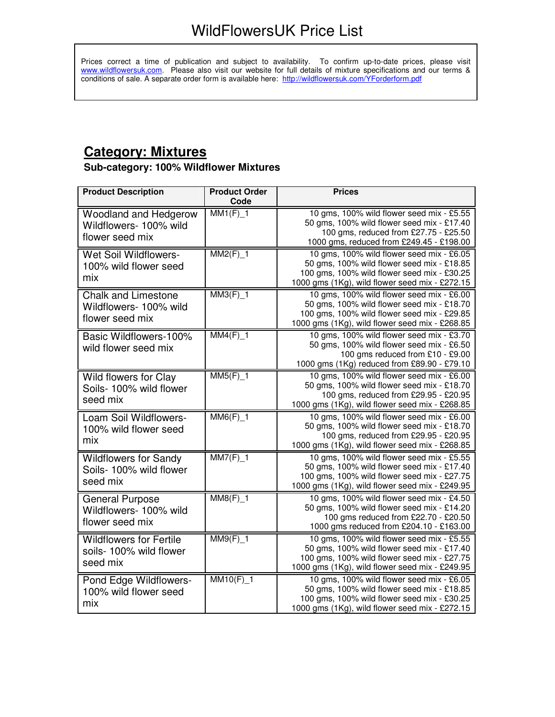Prices correct a time of publication and subject to availability. To confirm up-to-date prices, please visit www.wildflowersuk.com. Please also visit our website for full details of mixture specifications and our terms & conditions of sale. A separate order form is available here: http://wildflowersuk.com/YForderform.pdf

### **Category: Mixtures**

#### **Sub-category: 100% Wildflower Mixtures**

| <b>Product Description</b>                                                | <b>Product Order</b><br>Code | <b>Prices</b>                                                                                                                                                                            |
|---------------------------------------------------------------------------|------------------------------|------------------------------------------------------------------------------------------------------------------------------------------------------------------------------------------|
| <b>Woodland and Hedgerow</b><br>Wildflowers- 100% wild<br>flower seed mix | $MM1(F)$ <sup>1</sup>        | 10 gms, 100% wild flower seed mix - £5.55<br>50 gms, 100% wild flower seed mix - £17.40<br>100 gms, reduced from £27.75 - £25.50<br>1000 gms, reduced from £249.45 - £198.00             |
| <b>Wet Soil Wildflowers-</b><br>100% wild flower seed<br>mix              | $MM2(F)$ <sup>1</sup>        | 10 gms, 100% wild flower seed mix - £6.05<br>50 gms, 100% wild flower seed mix - £18.85<br>100 gms, 100% wild flower seed mix - £30.25<br>1000 gms (1Kg), wild flower seed mix - £272.15 |
| <b>Chalk and Limestone</b><br>Wildflowers- 100% wild<br>flower seed mix   | $MM3(F)$ <sup>1</sup>        | 10 gms, 100% wild flower seed mix - £6.00<br>50 gms, 100% wild flower seed mix - £18.70<br>100 gms, 100% wild flower seed mix - £29.85<br>1000 gms (1Kg), wild flower seed mix - £268.85 |
| Basic Wildflowers-100%<br>wild flower seed mix                            | $MM4(F)$ <sup>1</sup>        | 10 gms, 100% wild flower seed mix - £3.70<br>50 gms, 100% wild flower seed mix - £6.50<br>100 gms reduced from £10 - £9.00<br>1000 gms (1Kg) reduced from £89.90 - £79.10                |
| Wild flowers for Clay<br>Soils- 100% wild flower<br>seed mix              | $MM5(F)$ <sup>1</sup>        | 10 gms, 100% wild flower seed mix - £6.00<br>50 gms, 100% wild flower seed mix - £18.70<br>100 gms, reduced from £29.95 - £20.95<br>1000 gms (1Kg), wild flower seed mix - £268.85       |
| Loam Soil Wildflowers-<br>100% wild flower seed<br>mix                    | $MM6(F)$ 1                   | 10 gms, 100% wild flower seed mix - £6.00<br>50 gms, 100% wild flower seed mix - £18.70<br>100 gms, reduced from £29.95 - £20.95<br>1000 gms (1Kg), wild flower seed mix - £268.85       |
| <b>Wildflowers for Sandy</b><br>Soils- 100% wild flower<br>seed mix       | $MM7(F)$ <sup>1</sup>        | 10 gms, 100% wild flower seed mix - £5.55<br>50 gms, 100% wild flower seed mix - £17.40<br>100 gms, 100% wild flower seed mix - £27.75<br>1000 gms (1Kg), wild flower seed mix - £249.95 |
| <b>General Purpose</b><br>Wildflowers- 100% wild<br>flower seed mix       | $MM8(F)$ <sup>1</sup>        | 10 gms, 100% wild flower seed mix - £4.50<br>50 gms, 100% wild flower seed mix - £14.20<br>100 gms reduced from £22.70 - £20.50<br>1000 gms reduced from £204.10 - £163.00               |
| <b>Wildflowers for Fertile</b><br>soils- 100% wild flower<br>seed mix     | $MM9(F)$ 1                   | 10 gms, 100% wild flower seed mix - £5.55<br>50 gms, 100% wild flower seed mix - £17.40<br>100 gms, 100% wild flower seed mix - £27.75<br>1000 gms (1Kg), wild flower seed mix - £249.95 |
| Pond Edge Wildflowers-<br>100% wild flower seed<br>mix                    | $MM10(F)$ 1                  | 10 gms, 100% wild flower seed mix - £6.05<br>50 gms, 100% wild flower seed mix - £18.85<br>100 gms, 100% wild flower seed mix - £30.25<br>1000 gms (1Kg), wild flower seed mix - £272.15 |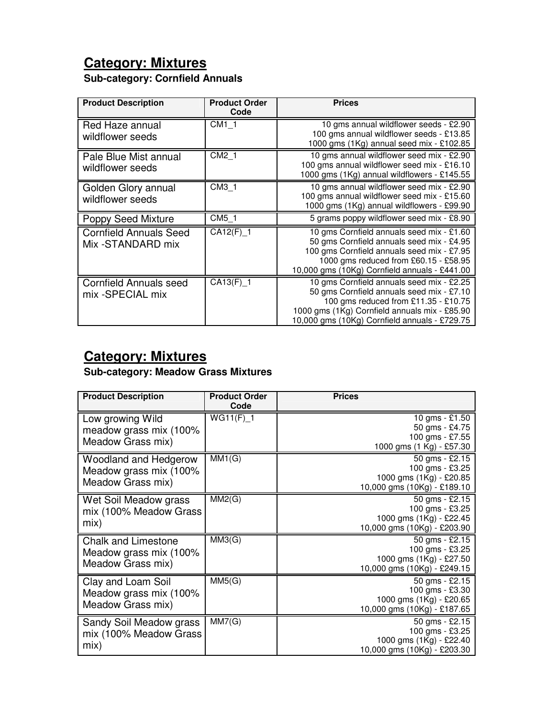## **Category: Mixtures**

#### **Sub-category: Cornfield Annuals**

| <b>Product Description</b>                         | <b>Product Order</b><br>Code | <b>Prices</b>                                                                                                                                                                                                                    |
|----------------------------------------------------|------------------------------|----------------------------------------------------------------------------------------------------------------------------------------------------------------------------------------------------------------------------------|
| Red Haze annual<br>wildflower seeds                | CM1 1                        | 10 gms annual wildflower seeds - £2.90<br>100 gms annual wildflower seeds - £13.85<br>1000 gms (1Kg) annual seed mix - £102.85                                                                                                   |
| Pale Blue Mist annual<br>wildflower seeds          | CM2 1                        | 10 gms annual wildflower seed mix - £2.90<br>100 gms annual wildflower seed mix - £16.10<br>1000 gms (1Kg) annual wildflowers - £145.55                                                                                          |
| Golden Glory annual<br>wildflower seeds            | CM3 1                        | 10 gms annual wildflower seed mix - £2.90<br>100 gms annual wildflower seed mix - £15.60<br>1000 gms (1Kg) annual wildflowers - £99.90                                                                                           |
| <b>Poppy Seed Mixture</b>                          | $\overline{CM5}$ 1           | 5 grams poppy wildflower seed mix - £8.90                                                                                                                                                                                        |
| <b>Cornfield Annuals Seed</b><br>Mix -STANDARD mix | $CA12(F)$ 1                  | 10 gms Cornfield annuals seed mix - £1.60<br>50 gms Cornfield annuals seed mix - £4.95<br>100 gms Cornfield annuals seed mix - £7.95<br>1000 gms reduced from £60.15 - £58.95<br>10,000 gms (10Kg) Cornfield annuals - £441.00   |
| <b>Cornfield Annuals seed</b><br>mix -SPECIAL mix  | $CA13(F)$ <sup>1</sup>       | 10 gms Cornfield annuals seed mix - £2.25<br>50 gms Cornfield annuals seed mix - £7.10<br>100 gms reduced from £11.35 - £10.75<br>1000 gms (1Kg) Cornfield annuals mix - £85.90<br>10,000 gms (10Kg) Cornfield annuals - £729.75 |

### **Category: Mixtures**

#### **Sub-category: Meadow Grass Mixtures**

| <b>Product Description</b>                                                | <b>Product Order</b><br>Code | <b>Prices</b>                                                                               |
|---------------------------------------------------------------------------|------------------------------|---------------------------------------------------------------------------------------------|
| Low growing Wild<br>meadow grass mix (100%<br>Meadow Grass mix)           | $WG11(F)$ _1                 | 10 gms - £1.50<br>50 gms - £4.75<br>100 gms - £7.55<br>1000 gms (1 Kg) - £57.30             |
| Woodland and Hedgerow<br>Meadow grass mix (100%<br>Meadow Grass mix)      | MM1(G)                       | 50 gms - £2.15<br>100 gms - £3.25<br>1000 gms (1Kg) - £20.85<br>10,000 gms (10Kg) - £189.10 |
| Wet Soil Meadow grass<br>mix (100% Meadow Grass<br>mix)                   | MM2(G)                       | 50 gms - £2.15<br>100 gms - £3.25<br>1000 gms (1Kg) - £22.45<br>10,000 gms (10Kg) - £203.90 |
| <b>Chalk and Limestone</b><br>Meadow grass mix (100%<br>Meadow Grass mix) | MM3(G)                       | 50 gms - £2.15<br>100 gms - £3.25<br>1000 gms (1Kg) - £27.50<br>10,000 gms (10Kg) - £249.15 |
| Clay and Loam Soil<br>Meadow grass mix (100%<br>Meadow Grass mix)         | MM5(G)                       | 50 gms - £2.15<br>100 gms - £3.30<br>1000 gms (1Kg) - £20.65<br>10,000 gms (10Kg) - £187.65 |
| Sandy Soil Meadow grass<br>mix (100% Meadow Grass<br>mix)                 | MM7(G)                       | 50 gms - £2.15<br>100 gms - £3.25<br>1000 gms (1Kg) - £22.40<br>10,000 gms (10Kg) - £203.30 |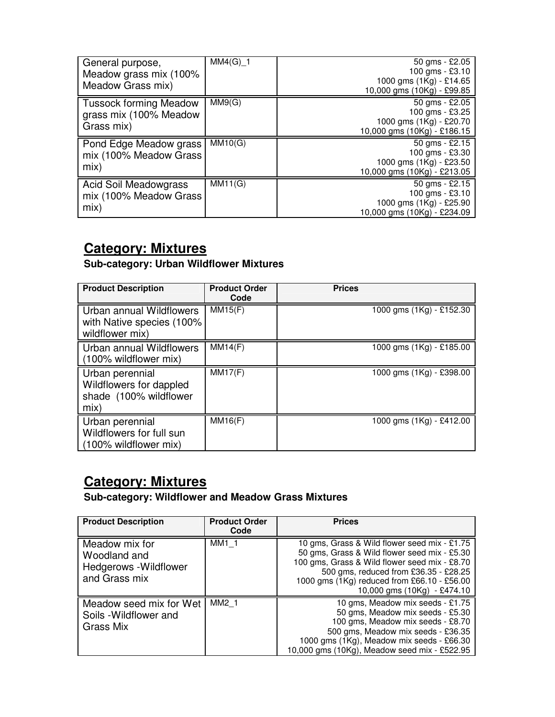| General purpose,<br>Meadow grass mix (100%<br>Meadow Grass mix)       | $MM4(G)$ 1 | $50$ gms - £2.05<br>100 gms - £3.10<br>1000 gms (1Kg) - £14.65<br>10,000 gms (10Kg) - £99.85 |
|-----------------------------------------------------------------------|------------|----------------------------------------------------------------------------------------------|
| <b>Tussock forming Meadow</b><br>grass mix (100% Meadow<br>Grass mix) | MM9(G)     | 50 gms - £2.05<br>100 gms - £3.25<br>1000 gms (1Kg) - £20.70<br>10,000 gms (10Kg) - £186.15  |
| Pond Edge Meadow grass<br>mix (100% Meadow Grass                      | MM10(G)    | 50 $\text{qms}$ - £2.15<br>100 gms - £3.30                                                   |
| mix)                                                                  |            | 1000 gms (1Kg) - £23.50<br>10,000 gms (10Kg) - £213.05                                       |

#### **Category: Mixtures**

**Sub-category: Urban Wildflower Mixtures** 

| <b>Product Description</b>                                                   | <b>Product Order</b><br>Code | <b>Prices</b>            |
|------------------------------------------------------------------------------|------------------------------|--------------------------|
| Urban annual Wildflowers<br>with Native species (100%<br>wildflower mix)     | MM15(F)                      | 1000 gms (1Kg) - £152.30 |
| Urban annual Wildflowers<br>(100% wildflower mix)                            | $\overline{\text{MM1}}$ 4(F) | 1000 gms (1Kg) - £185.00 |
| Urban perennial<br>Wildflowers for dappled<br>shade (100% wildflower<br>mix) | MM17(F)                      | 1000 gms (1Kg) - £398.00 |
| Urban perennial<br>Wildflowers for full sun<br>(100% wildflower mix)         | MM16(F)                      | 1000 gms (1Kg) - £412.00 |

# **Category: Mixtures**

**Sub-category: Wildflower and Meadow Grass Mixtures** 

| <b>Product Description</b>                                                       | <b>Product Order</b><br>Code | <b>Prices</b>                                                                                                                                                                                                                                                                              |
|----------------------------------------------------------------------------------|------------------------------|--------------------------------------------------------------------------------------------------------------------------------------------------------------------------------------------------------------------------------------------------------------------------------------------|
| Meadow mix for<br>Woodland and<br><b>Hedgerows</b> - Wildflower<br>and Grass mix | MM1 1                        | 10 gms, Grass & Wild flower seed mix - £1.75<br>50 gms, Grass & Wild flower seed mix - £5.30<br>100 gms, Grass & Wild flower seed mix - £8.70<br>500 gms, reduced from £36.35 - £28.25<br>1000 gms (1Kg) reduced from £66.10 - £56.00<br>10,000 gms $(10\text{kg}) - \text{\pounds}474.10$ |
| Meadow seed mix for Wet<br>Soils - Wildflower and<br>Grass Mix                   | MM2 1                        | 10 gms, Meadow mix seeds - £1.75<br>50 gms, Meadow mix seeds - £5.30<br>100 gms, Meadow mix seeds - £8.70<br>500 gms, Meadow mix seeds - £36.35<br>1000 gms (1Kg), Meadow mix seeds - £66.30<br>10,000 gms (10Kg), Meadow seed mix - £522.95                                               |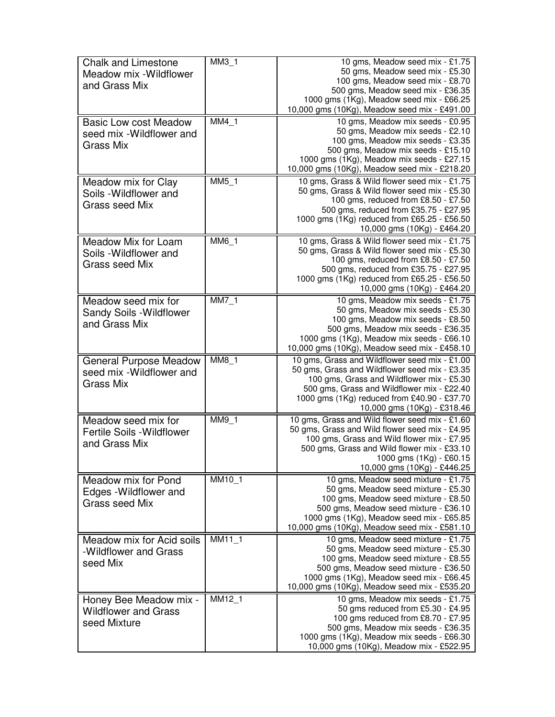| <b>Chalk and Limestone</b><br>Meadow mix - Wildflower<br>and Grass Mix    | $MM3_1$                    | 10 gms, Meadow seed mix - £1.75<br>50 gms, Meadow seed mix - £5.30<br>100 gms, Meadow seed mix - £8.70<br>500 gms, Meadow seed mix - £36.35<br>1000 gms (1Kg), Meadow seed mix - £66.25<br>10,000 gms (10Kg), Meadow seed mix - £491.00                                 |
|---------------------------------------------------------------------------|----------------------------|-------------------------------------------------------------------------------------------------------------------------------------------------------------------------------------------------------------------------------------------------------------------------|
| <b>Basic Low cost Meadow</b><br>seed mix - Wildflower and<br>Grass Mix    | $MM4_1$                    | 10 gms, Meadow mix seeds - £0.95<br>50 gms, Meadow mix seeds - £2.10<br>100 gms, Meadow mix seeds - £3.35<br>500 gms, Meadow mix seeds - £15.10<br>1000 gms (1Kg), Meadow mix seeds - £27.15<br>10,000 gms (10Kg), Meadow seed mix - £218.20                            |
| Meadow mix for Clay<br>Soils - Wildflower and<br>Grass seed Mix           | $MM5_1$                    | 10 gms, Grass & Wild flower seed mix - £1.75<br>50 gms, Grass & Wild flower seed mix - £5.30<br>100 gms, reduced from £8.50 - £7.50<br>500 gms, reduced from £35.75 - £27.95<br>1000 gms (1Kg) reduced from £65.25 - £56.50<br>10,000 gms (10Kg) - £464.20              |
| Meadow Mix for Loam<br>Soils - Wildflower and<br>Grass seed Mix           | MM6 1                      | 10 gms, Grass & Wild flower seed mix - £1.75<br>50 gms, Grass & Wild flower seed mix - £5.30<br>100 gms, reduced from £8.50 - £7.50<br>500 gms, reduced from £35.75 - £27.95<br>1000 gms (1Kg) reduced from £65.25 - £56.50<br>10,000 gms (10Kg) - £464.20              |
| Meadow seed mix for<br>Sandy Soils - Wildflower<br>and Grass Mix          | $MM7_1$                    | 10 gms, Meadow mix seeds - £1.75<br>50 gms, Meadow mix seeds - £5.30<br>100 gms, Meadow mix seeds - £8.50<br>500 gms, Meadow mix seeds - £36.35<br>1000 gms (1Kg), Meadow mix seeds - £66.10<br>10,000 gms (10Kg), Meadow seed mix - £458.10                            |
| <b>General Purpose Meadow</b><br>seed mix - Wildflower and<br>Grass Mix   | MM8 1                      | 10 gms, Grass and Wildflower seed mix - £1.00<br>50 gms, Grass and Wildflower seed mix - £3.35<br>100 gms, Grass and Wildflower mix - £5.30<br>500 gms, Grass and Wildflower mix - £22.40<br>1000 gms (1Kg) reduced from £40.90 - £37.70<br>10,000 gms (10Kg) - £318.46 |
| Meadow seed mix for<br><b>Fertile Soils - Wildflower</b><br>and Grass Mix | $MM9_1$                    | 10 gms, Grass and Wild flower seed mix - £1.60<br>50 gms, Grass and Wild flower seed mix - £4.95<br>100 gms, Grass and Wild flower mix - £7.95<br>500 gms, Grass and Wild flower mix - £33.10<br>1000 gms (1Kg) - £60.15<br>10,000 gms (10Kg) - £446.25                 |
| Meadow mix for Pond<br>Edges - Wildflower and<br>Grass seed Mix           | $MM10_1$                   | 10 gms, Meadow seed mixture - £1.75<br>50 gms, Meadow seed mixture - £5.30<br>100 gms, Meadow seed mixture - £8.50<br>500 gms, Meadow seed mixture - £36.10<br>1000 gms (1Kg), Meadow seed mix - £65.85<br>10,000 gms (10Kg), Meadow seed mix - £581.10                 |
| Meadow mix for Acid soils<br>-Wildflower and Grass<br>seed Mix            | $M$ $M$ $11$ <sub>_1</sub> | 10 gms, Meadow seed mixture - £1.75<br>50 gms, Meadow seed mixture - £5.30<br>100 gms, Meadow seed mixture - £8.55<br>500 gms, Meadow seed mixture - £36.50<br>1000 gms (1Kg), Meadow seed mix - £66.45<br>10,000 gms (10Kg), Meadow seed mix - £535.20                 |
| Honey Bee Meadow mix -<br><b>Wildflower and Grass</b><br>seed Mixture     | MM12_1                     | 10 gms, Meadow mix seeds - £1.75<br>50 gms reduced from £5.30 - £4.95<br>100 gms reduced from £8.70 - £7.95<br>500 gms, Meadow mix seeds - £36.35<br>1000 gms (1Kg), Meadow mix seeds - £66.30<br>10,000 gms (10Kg), Meadow mix - £522.95                               |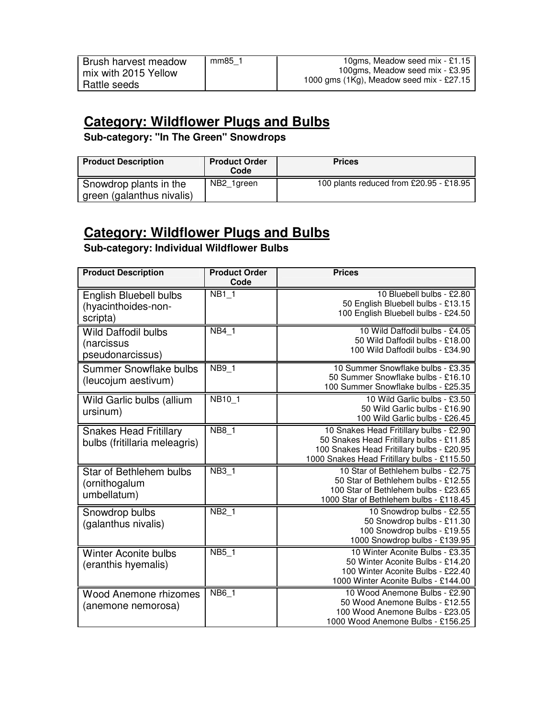#### **Category: Wildflower Plugs and Bulbs**

**Sub-category: "In The Green" Snowdrops** 

| <b>Product Description</b>                          | <b>Product Order</b><br>Code | <b>Prices</b>                           |
|-----------------------------------------------------|------------------------------|-----------------------------------------|
| Snowdrop plants in the<br>green (galanthus nivalis) | NB <sub>2</sub> 1green       | 100 plants reduced from £20.95 - £18.95 |

#### **Category: Wildflower Plugs and Bulbs**

**Sub-category: Individual Wildflower Bulbs** 

| <b>Product Description</b>                                     | <b>Product Order</b><br>Code | <b>Prices</b>                                                                                                                                                                   |
|----------------------------------------------------------------|------------------------------|---------------------------------------------------------------------------------------------------------------------------------------------------------------------------------|
| English Bluebell bulbs<br>(hyacinthoides-non-<br>scripta)      | <b>NB1 1</b>                 | 10 Bluebell bulbs - £2.80<br>50 English Bluebell bulbs - £13.15<br>100 English Bluebell bulbs - £24.50                                                                          |
| <b>Wild Daffodil bulbs</b><br>(narcissus<br>pseudonarcissus)   | <b>NB4 1</b>                 | 10 Wild Daffodil bulbs - £4.05<br>50 Wild Daffodil bulbs - £18.00<br>100 Wild Daffodil bulbs - £34.90                                                                           |
| Summer Snowflake bulbs<br>(leucojum aestivum)                  | <b>NB9 1</b>                 | 10 Summer Snowflake bulbs - £3.35<br>50 Summer Snowflake bulbs - £16.10<br>100 Summer Snowflake bulbs - £25.35                                                                  |
| Wild Garlic bulbs (allium<br>ursinum)                          | NB <sub>10_1</sub>           | 10 Wild Garlic bulbs - £3.50<br>50 Wild Garlic bulbs - £16.90<br>100 Wild Garlic bulbs - £26.45                                                                                 |
| <b>Snakes Head Fritillary</b><br>bulbs (fritillaria meleagris) | <b>NB8 1</b>                 | 10 Snakes Head Fritillary bulbs - £2.90<br>50 Snakes Head Fritillary bulbs - £11.85<br>100 Snakes Head Fritillary bulbs - £20.95<br>1000 Snakes Head Fritillary bulbs - £115.50 |
| Star of Bethlehem bulbs<br>(ornithogalum<br>umbellatum)        | <b>NB3 1</b>                 | 10 Star of Bethlehem bulbs - £2.75<br>50 Star of Bethlehem bulbs - £12.55<br>100 Star of Bethlehem bulbs - £23.65<br>1000 Star of Bethlehem bulbs - £118.45                     |
| Snowdrop bulbs<br>(galanthus nivalis)                          | <b>NB2 1</b>                 | 10 Snowdrop bulbs - £2.55<br>50 Snowdrop bulbs - £11.30<br>100 Snowdrop bulbs - £19.55<br>1000 Snowdrop bulbs - £139.95                                                         |
| <b>Winter Aconite bulbs</b><br>(eranthis hyemalis)             | <b>NB5 1</b>                 | 10 Winter Aconite Bulbs - £3.35<br>50 Winter Aconite Bulbs - £14.20<br>100 Winter Aconite Bulbs - £22.40<br>1000 Winter Aconite Bulbs - £144.00                                 |
| <b>Wood Anemone rhizomes</b><br>(anemone nemorosa)             | <b>NB6 1</b>                 | 10 Wood Anemone Bulbs - £2.90<br>50 Wood Anemone Bulbs - £12.55<br>100 Wood Anemone Bulbs - £23.05<br>1000 Wood Anemone Bulbs - £156.25                                         |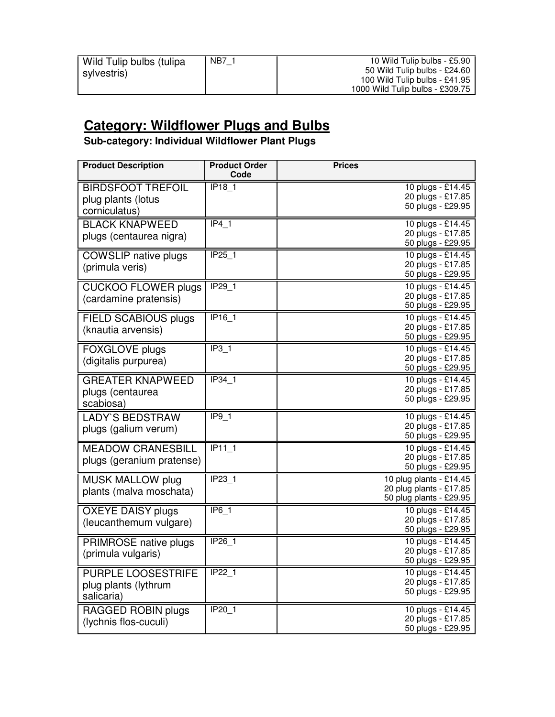#### **Category: Wildflower Plugs and Bulbs**

**Sub-category: Individual Wildflower Plant Plugs** 

| <b>Product Description</b>                                      | <b>Product Order</b><br>Code | <b>Prices</b>                                                                 |
|-----------------------------------------------------------------|------------------------------|-------------------------------------------------------------------------------|
| <b>BIRDSFOOT TREFOIL</b><br>plug plants (lotus<br>corniculatus) | <b>IP18 1</b>                | 10 plugs - £14.45<br>20 plugs - £17.85<br>50 plugs - £29.95                   |
| <b>BLACK KNAPWEED</b><br>plugs (centaurea nigra)                | IP4 <sub>1</sub>             | 10 plugs - £14.45<br>20 plugs - £17.85<br>50 plugs - £29.95                   |
| <b>COWSLIP</b> native plugs<br>(primula veris)                  | IP25 1                       | 10 plugs - £14.45<br>20 plugs - £17.85<br>50 plugs - £29.95                   |
| <b>CUCKOO FLOWER plugs</b><br>(cardamine pratensis)             | IP29 1                       | 10 plugs - £14.45<br>20 plugs - £17.85<br>50 plugs - £29.95                   |
| <b>FIELD SCABIOUS plugs</b><br>(knautia arvensis)               | <b>IP16 1</b>                | 10 plugs - £14.45<br>20 plugs - £17.85<br>50 plugs - £29.95                   |
| <b>FOXGLOVE plugs</b><br>(digitalis purpurea)                   | IP3 1                        | 10 plugs - £14.45<br>20 plugs - £17.85<br>50 plugs - £29.95                   |
| <b>GREATER KNAPWEED</b><br>plugs (centaurea<br>scabiosa)        | IP34 1                       | 10 plugs - £14.45<br>20 plugs - £17.85<br>50 plugs - £29.95                   |
| <b>LADY'S BEDSTRAW</b><br>plugs (galium verum)                  | IP9 <sub>1</sub>             | 10 plugs - £14.45<br>20 plugs - £17.85<br>50 plugs - £29.95                   |
| <b>MEADOW CRANESBILL</b><br>plugs (geranium pratense)           | <b>IP11 1</b>                | 10 plugs - £14.45<br>20 plugs - £17.85<br>50 plugs - £29.95                   |
| <b>MUSK MALLOW plug</b><br>plants (malva moschata)              | <b>IP23 1</b>                | 10 plug plants - £14.45<br>20 plug plants - £17.85<br>50 plug plants - £29.95 |
| <b>OXEYE DAISY plugs</b><br>(leucanthemum vulgare)              | $IP6_1$                      | 10 plugs - £14.45<br>20 plugs - £17.85<br>50 plugs - £29.95                   |
| PRIMROSE native plugs<br>(primula vulgaris)                     | IP26_1                       | 10 plugs - £14.45<br>20 plugs - £17.85<br>50 plugs - £29.95                   |
| <b>PURPLE LOOSESTRIFE</b><br>plug plants (lythrum<br>salicaria) | $IP22_1$                     | 10 plugs - £14.45<br>20 plugs - £17.85<br>50 plugs - £29.95                   |
| RAGGED ROBIN plugs<br>(lychnis flos-cuculi)                     | <b>IP20 1</b>                | 10 plugs - £14.45<br>20 plugs - £17.85<br>50 plugs - £29.95                   |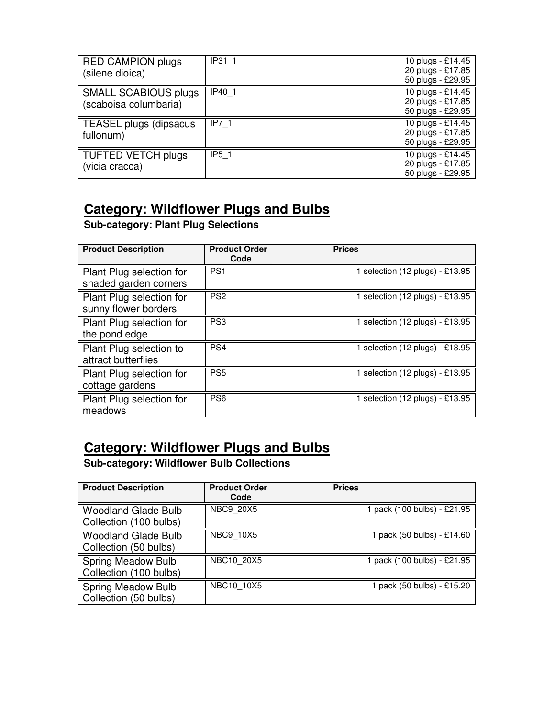| <b>RED CAMPION plugs</b><br>(silene dioica)          | IP31 1 | 10 plugs - £14.45<br>20 plugs - £17.85<br>50 plugs - £29.95 |
|------------------------------------------------------|--------|-------------------------------------------------------------|
| <b>SMALL SCABIOUS plugs</b><br>(scaboisa columbaria) | IP40 1 | 10 plugs - £14.45<br>20 plugs - £17.85<br>50 plugs - £29.95 |
| TEASEL plugs (dipsacus<br>fullonum)                  | IP7 1  | 10 plugs - £14.45<br>20 plugs - £17.85<br>50 plugs - £29.95 |
| <b>TUFTED VETCH plugs</b><br>(vicia cracca)          | IP5 1  | 10 plugs - £14.45<br>20 plugs - £17.85<br>50 plugs - £29.95 |

#### **Category: Wildflower Plugs and Bulbs**

**Sub-category: Plant Plug Selections** 

| <b>Product Description</b>                        | <b>Product Order</b><br>Code | <b>Prices</b>                   |
|---------------------------------------------------|------------------------------|---------------------------------|
| Plant Plug selection for<br>shaded garden corners | PS <sub>1</sub>              | 1 selection (12 plugs) - £13.95 |
| Plant Plug selection for<br>sunny flower borders  | PS <sub>2</sub>              | 1 selection (12 plugs) - £13.95 |
| Plant Plug selection for<br>the pond edge         | PS3                          | 1 selection (12 plugs) - £13.95 |
| Plant Plug selection to<br>attract butterflies    | PS <sub>4</sub>              | 1 selection (12 plugs) - £13.95 |
| Plant Plug selection for<br>cottage gardens       | PS <sub>5</sub>              | 1 selection (12 plugs) - £13.95 |
| Plant Plug selection for<br>meadows               | PS <sub>6</sub>              | selection (12 plugs) - £13.95   |

#### **Category: Wildflower Plugs and Bulbs**

**Sub-category: Wildflower Bulb Collections** 

| <b>Product Description</b>                           | <b>Product Order</b><br>Code | <b>Prices</b>               |
|------------------------------------------------------|------------------------------|-----------------------------|
| <b>Woodland Glade Bulb</b><br>Collection (100 bulbs) | <b>NBC9 20X5</b>             | 1 pack (100 bulbs) - £21.95 |
| <b>Woodland Glade Bulb</b><br>Collection (50 bulbs)  | <b>NBC9 10X5</b>             | pack (50 bulbs) - £14.60    |
| <b>Spring Meadow Bulb</b><br>Collection (100 bulbs)  | NBC10 20X5                   | 1 pack (100 bulbs) - £21.95 |
| <b>Spring Meadow Bulb</b><br>Collection (50 bulbs)   | NBC10 10X5                   | 1 pack (50 bulbs) - £15.20  |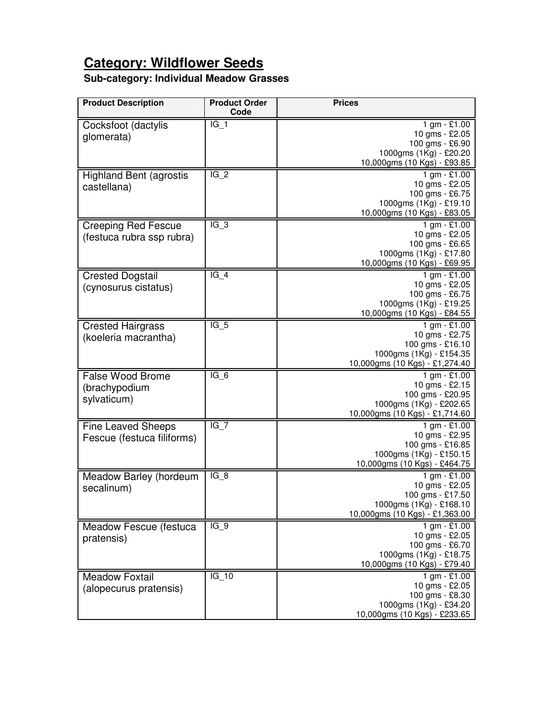#### **Category: Wildflower Seeds**

#### **Sub-category: Individual Meadow Grasses**

| <b>Product Description</b>                              | <b>Product Order</b><br>Code | <b>Prices</b>                                                                                                     |
|---------------------------------------------------------|------------------------------|-------------------------------------------------------------------------------------------------------------------|
| Cocksfoot (dactylis<br>glomerata)                       | $IG_1$                       | 1 gm - £1.00<br>10 gms - £2.05<br>100 gms - £6.90<br>1000gms (1Kg) - £20.20<br>10,000gms (10 Kgs) - £93.85        |
| <b>Highland Bent (agrostis</b><br>castellana)           | $IG_2$                       | $1 gm - £1.00$<br>10 gms - £2.05<br>100 gms - £6.75<br>1000gms (1Kg) - £19.10<br>10,000gms (10 Kgs) - £83.05      |
| <b>Creeping Red Fescue</b><br>(festuca rubra ssp rubra) | $IG_3$                       | $1 gm - £1.00$<br>10 gms - £2.05<br>100 gms - £6.65<br>1000gms (1Kg) - £17.80<br>10,000gms (10 Kgs) - £69.95      |
| <b>Crested Dogstail</b><br>(cynosurus cistatus)         | $IG_4$                       | $1 gm - £1.00$<br>10 gms - £2.05<br>100 gms - £6.75<br>1000gms (1Kg) - £19.25<br>10,000gms (10 Kgs) - £84.55      |
| <b>Crested Hairgrass</b><br>(koeleria macrantha)        | $IG_5$                       | $1 gm - £1.00$<br>10 gms - £2.75<br>100 gms - £16.10<br>1000gms (1Kg) - £154.35<br>10,000gms (10 Kgs) - £1,274.40 |
| <b>False Wood Brome</b><br>(brachypodium<br>sylvaticum) | $IG_6$                       | 1 gm - £1.00<br>10 gms - £2.15<br>100 gms - £20.95<br>1000gms (1Kg) - £202.65<br>10,000gms (10 Kgs) - £1,714.60   |
| <b>Fine Leaved Sheeps</b><br>Fescue (festuca filiforms) | $IG_7$                       | 1 gm - £1.00<br>10 gms - £2.95<br>100 gms - £16.85<br>1000gms (1Kg) - £150.15<br>10,000gms (10 Kgs) - £464.75     |
| Meadow Barley (hordeum<br>secalinum)                    | $IG_8$                       | 1 gm - £1.00<br>10 gms - £2.05<br>100 gms - £17.50<br>1000gms (1Kg) - £168.10<br>10,000gms (10 Kgs) - £1,363.00   |
| Meadow Fescue (festuca<br>pratensis)                    | $IG_9$                       | $1$ gm - £1.00<br>10 gms - £2.05<br>100 gms - £6.70<br>1000gms (1Kg) - £18.75<br>10,000gms (10 Kgs) - £79.40      |
| <b>Meadow Foxtail</b><br>(alopecurus pratensis)         | $IG_10$                      | 1 gm - $£1.00$<br>10 gms - £2.05<br>100 gms - £8.30<br>1000gms (1Kg) - £34.20<br>10,000gms (10 Kgs) - £233.65     |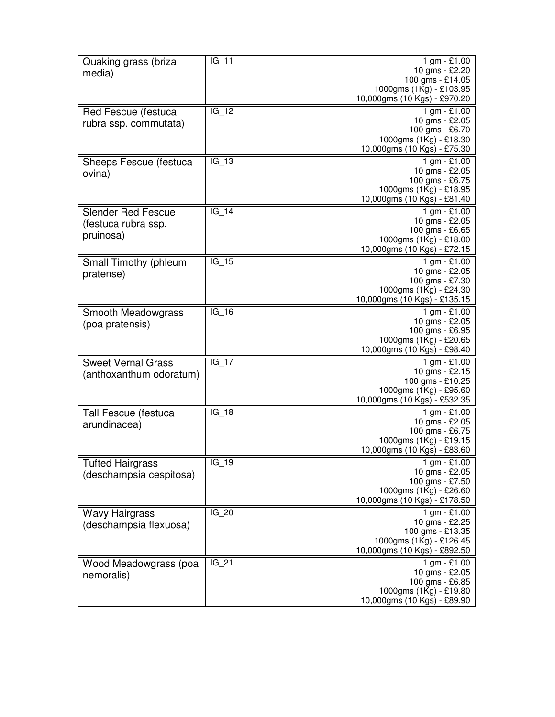| Quaking grass (briza                  | $IG_11$ | 1 gm - £1.00<br>10 gms - £2.20                         |
|---------------------------------------|---------|--------------------------------------------------------|
| media)                                |         | 100 gms - £14.05                                       |
|                                       |         | 1000gms (1Kg) - £103.95                                |
|                                       |         | 10,000gms (10 Kgs) - £970.20                           |
| Red Fescue (festuca                   | $IG_12$ | 1 gm - £1.00<br>10 gms - £2.05                         |
| rubra ssp. commutata)                 |         | 100 gms - £6.70                                        |
|                                       |         | 1000gms (1Kg) - £18.30                                 |
|                                       |         | 10,000gms (10 Kgs) - £75.30                            |
| Sheeps Fescue (festuca                | $IG_13$ | 1 gm - £1.00                                           |
| ovina)                                |         | 10 gms - £2.05<br>100 gms - £6.75                      |
|                                       |         | 1000gms (1Kg) - £18.95                                 |
|                                       |         | 10,000gms (10 Kgs) - £81.40                            |
| <b>Slender Red Fescue</b>             | $IG_14$ | 1 gm - £1.00                                           |
| (festuca rubra ssp.                   |         | 10 gms - £2.05                                         |
| pruinosa)                             |         | 100 gms - £6.65<br>1000gms (1Kg) - £18.00              |
|                                       |         | 10,000gms (10 Kgs) - £72.15                            |
| Small Timothy (phleum                 | IG 15   | 1 gm - £1.00                                           |
| pratense)                             |         | 10 gms - £2.05                                         |
|                                       |         | 100 gms - £7.30                                        |
|                                       |         | 1000gms (1Kg) - £24.30<br>10,000gms (10 Kgs) - £135.15 |
|                                       | $IG_16$ | 1 gm - £1.00                                           |
| Smooth Meadowgrass<br>(poa pratensis) |         | 10 gms - £2.05                                         |
|                                       |         | 100 gms - £6.95                                        |
|                                       |         | 1000gms (1Kg) - £20.65                                 |
|                                       |         | 10,000gms (10 Kgs) - £98.40                            |
| <b>Sweet Vernal Grass</b>             | $IG_17$ | 1 gm - £1.00<br>10 gms - £2.15                         |
| (anthoxanthum odoratum)               |         | 100 gms - £10.25                                       |
|                                       |         | 1000gms (1Kg) - £95.60                                 |
|                                       |         | 10,000gms (10 Kgs) - £532.35                           |
| Tall Fescue (festuca                  | $IG_18$ | 1 gm - £1.00                                           |
| arundinacea)                          |         | 10 gms - £2.05<br>100 gms - £6.75                      |
|                                       |         | 1000gms (1Kg) - £19.15                                 |
|                                       |         | 10,000gms (10 Kgs) - £83.60                            |
| <b>Tufted Hairgrass</b>               | $IG_19$ | 1 gm - £1.00                                           |
| (deschampsia cespitosa)               |         | 10 gms - £2.05                                         |
|                                       |         | 100 gms - £7.50                                        |
|                                       |         | 1000gms (1Kg) - £26.60<br>10,000gms (10 Kgs) - £178.50 |
| <b>Wavy Hairgrass</b>                 | $IG_20$ | 1 gm - £1.00                                           |
| (deschampsia flexuosa)                |         | 10 gms - £2.25                                         |
|                                       |         | 100 gms - £13.35                                       |
|                                       |         | 1000gms (1Kg) - £126.45                                |
|                                       |         | 10,000gms (10 Kgs) - £892.50                           |
| Wood Meadowgrass (poa                 | IG 21   | 1 gm - £1.00<br>10 gms - £2.05                         |
| nemoralis)                            |         | 100 gms - £6.85                                        |
|                                       |         | 1000gms (1Kg) - £19.80                                 |
|                                       |         | 10,000gms (10 Kgs) - £89.90                            |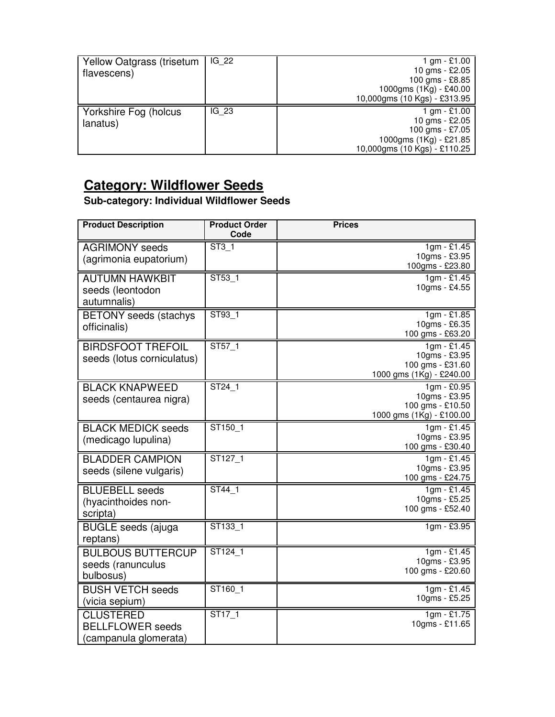| Yellow Oatgrass (trisetum<br>flavescens) | IG 22 | 1 gm $-$ £1.00<br>10 gms - £2.05<br>100 gms - £8.85<br>1000gms (1Kg) - £40.00<br>10,000gms (10 Kgs) - £313.95 |
|------------------------------------------|-------|---------------------------------------------------------------------------------------------------------------|
| Yorkshire Fog (holcus<br>lanatus)        | IG 23 | 1 gm $-$ £1.00<br>10 gms - £2.05<br>100 gms - £7.05<br>1000gms (1Kg) - £21.85<br>10,000gms (10 Kgs) - £110.25 |

#### **Category: Wildflower Seeds**

#### **Sub-category: Individual Wildflower Seeds**

| <b>Product Description</b>                                           | <b>Product Order</b><br>Code | <b>Prices</b>                                                                            |
|----------------------------------------------------------------------|------------------------------|------------------------------------------------------------------------------------------|
| <b>AGRIMONY</b> seeds<br>(agrimonia eupatorium)                      | ST3 <sub>1</sub>             | $1gm - £1.45$<br>10gms - £3.95<br>100gms - £23.80                                        |
| <b>AUTUMN HAWKBIT</b><br>seeds (leontodon<br>autumnalis)             | ST53 1                       | $1gm - £1.45$<br>10gms - £4.55                                                           |
| <b>BETONY</b> seeds (stachys<br>officinalis)                         | ST93_1                       | 1gm - £1.85<br>10gms - £6.35<br>100 gms - £63.20                                         |
| <b>BIRDSFOOT TREFOIL</b><br>seeds (lotus corniculatus)               | ST57_1                       | $\frac{1}{9}$ m - £1.45<br>10gms - £3.95<br>100 gms - £31.60<br>1000 gms (1Kg) - £240.00 |
| <b>BLACK KNAPWEED</b><br>seeds (centaurea nigra)                     | ST24 1                       | $1gm - £0.95$<br>10gms - £3.95<br>100 gms - £10.50<br>1000 gms (1Kg) - £100.00           |
| <b>BLACK MEDICK seeds</b><br>(medicago lupulina)                     | ST150 1                      | $1gm - £1.45$<br>10gms - £3.95<br>100 gms - £30.40                                       |
| <b>BLADDER CAMPION</b><br>seeds (silene vulgaris)                    | ST127 1                      | $1gm - £1.45$<br>10gms - £3.95<br>100 gms - £24.75                                       |
| <b>BLUEBELL</b> seeds<br>(hyacinthoides non-<br>scripta)             | ST44 1                       | $1gm - £1.45$<br>10gms - £5.25<br>100 gms - £52.40                                       |
| <b>BUGLE</b> seeds (ajuga<br>reptans)                                | ST133 1                      | $1gm - £3.95$                                                                            |
| <b>BULBOUS BUTTERCUP</b><br>seeds (ranunculus<br>bulbosus)           | ST124 1                      | $1gm - £1.45$<br>10gms - £3.95<br>100 gms - £20.60                                       |
| <b>BUSH VETCH seeds</b><br>(vicia sepium)                            | ST160 1                      | $1gm - £1.45$<br>10gms - £5.25                                                           |
| <b>CLUSTERED</b><br><b>BELLFLOWER</b> seeds<br>(campanula glomerata) | $\overline{\text{ST17}}$ _1  | $1gm - £1.75$<br>10gms - £11.65                                                          |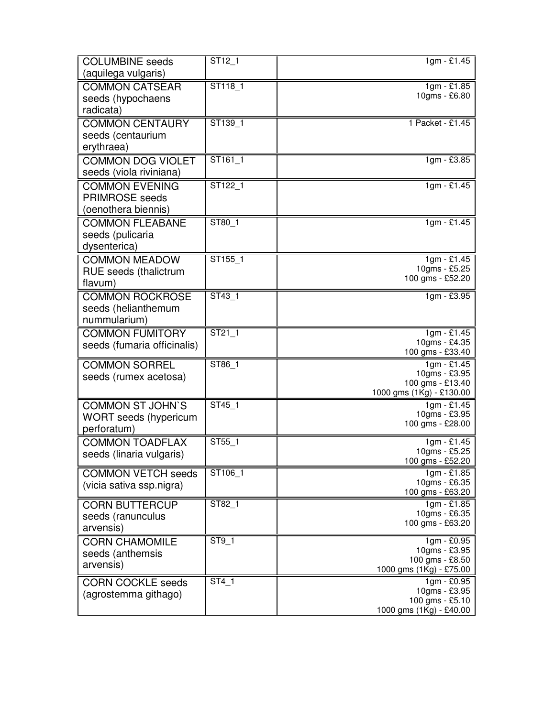| <b>COLUMBINE</b> seeds       | $\overline{ST12}$ _1 | $1gm - £1.45$                                |
|------------------------------|----------------------|----------------------------------------------|
| (aquilega vulgaris)          |                      |                                              |
| <b>COMMON CATSEAR</b>        | ST118 1              | $1gm - £1.85$<br>10gms - £6.80               |
| seeds (hypochaens            |                      |                                              |
| radicata)                    |                      |                                              |
| <b>COMMON CENTAURY</b>       | ST139_1              | 1 Packet - £1.45                             |
| seeds (centaurium            |                      |                                              |
| erythraea)                   |                      |                                              |
| <b>COMMON DOG VIOLET</b>     | ST161 1              | 1gm - £3.85                                  |
| seeds (viola riviniana)      |                      |                                              |
| <b>COMMON EVENING</b>        | ST122 1              | $1gm - £1.45$                                |
| <b>PRIMROSE</b> seeds        |                      |                                              |
| (oenothera biennis)          |                      |                                              |
| <b>COMMON FLEABANE</b>       | ST80_1               | $1gm - £1.45$                                |
| seeds (pulicaria             |                      |                                              |
| dysenterica)                 |                      |                                              |
| <b>COMMON MEADOW</b>         | ST155_1              | 1gm - £1.45                                  |
| <b>RUE</b> seeds (thalictrum |                      | 10gms - £5.25                                |
| flavum)                      |                      | 100 gms - £52.20                             |
| <b>COMMON ROCKROSE</b>       | ST43 1               | 1gm - £3.95                                  |
| seeds (helianthemum          |                      |                                              |
| nummularium)                 |                      |                                              |
| <b>COMMON FUMITORY</b>       | ST21 1               | 1gm - £1.45                                  |
| seeds (fumaria officinalis)  |                      | 10gms - £4.35                                |
|                              |                      | 100 gms - £33.40                             |
| <b>COMMON SORREL</b>         | ST86_1               | $1gm - £1.45$                                |
| seeds (rumex acetosa)        |                      | 10gms - £3.95                                |
|                              |                      | 100 gms - £13.40<br>1000 gms (1Kg) - £130.00 |
| <b>COMMON ST JOHN'S</b>      | ST45 1               | $1gm - £1.45$                                |
| <b>WORT</b> seeds (hypericum |                      | 10gms - £3.95                                |
| perforatum)                  |                      | 100 gms - £28.00                             |
| <b>COMMON TOADFLAX</b>       | ST55 1               | 1gm - £1.45                                  |
| seeds (linaria vulgaris)     |                      | 10gms - £5.25                                |
|                              |                      | 100 gms - £52.20                             |
| <b>COMMON VETCH seeds</b>    | ST106 1              | 1gm - £1.85                                  |
| (vicia sativa ssp.nigra)     |                      | 10gms - £6.35                                |
|                              |                      | 100 gms - £63.20                             |
| <b>CORN BUTTERCUP</b>        | ST82 1               | $1gm - £1.85$<br>10gms - £6.35               |
| seeds (ranunculus            |                      | 100 gms - £63.20                             |
| arvensis)                    |                      |                                              |
| <b>CORN CHAMOMILE</b>        | ST9_1                | 1gm - £0.95<br>10gms - £3.95                 |
| seeds (anthemsis             |                      | 100 gms - £8.50                              |
| arvensis)                    |                      | 1000 gms (1Kg) - £75.00                      |
| <b>CORN COCKLE seeds</b>     | $ST4_1$              | 1gm - £0.95                                  |
| (agrostemma githago)         |                      | 10gms - £3.95                                |
|                              |                      | 100 gms - £5.10                              |
|                              |                      | 1000 gms (1Kg) - £40.00                      |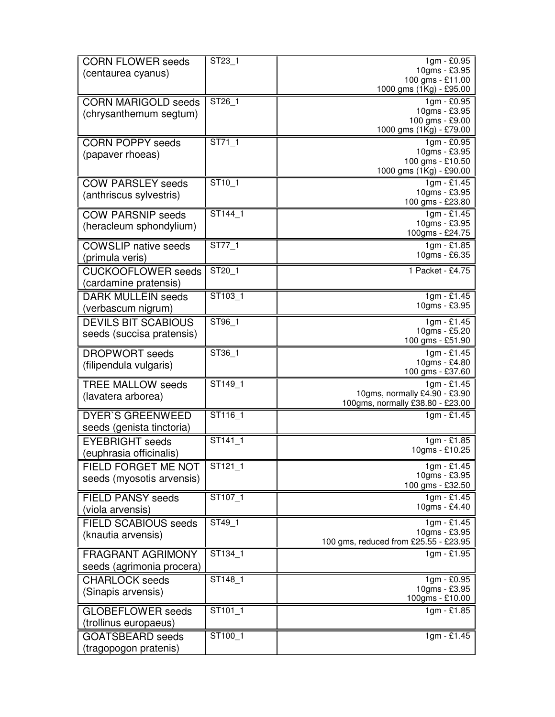| <b>CORN FLOWER seeds</b>                     | ST23_1                      | $1gm - \overline{£0.95}$                    |
|----------------------------------------------|-----------------------------|---------------------------------------------|
| (centaurea cyanus)                           |                             | 10gms - £3.95                               |
|                                              |                             | 100 gms - £11.00<br>1000 gms (1Kg) - £95.00 |
| <b>CORN MARIGOLD seeds</b>                   | ST26_1                      | 1gm - £0.95                                 |
| (chrysanthemum segtum)                       |                             | 10gms - £3.95                               |
|                                              |                             | 100 gms - £9.00                             |
|                                              |                             | 1000 gms (1Kg) - £79.00                     |
| <b>CORN POPPY seeds</b>                      | ST71 1                      | 1gm - £0.95                                 |
| (papaver rhoeas)                             |                             | 10gms - £3.95<br>100 gms - £10.50           |
|                                              |                             | 1000 gms (1Kg) - £90.00                     |
| <b>COW PARSLEY seeds</b>                     | $ST10_1$                    | $1gm - £1.45$                               |
| (anthriscus sylvestris)                      |                             | 10gms - £3.95                               |
|                                              |                             | 100 gms - £23.80                            |
| <b>COW PARSNIP seeds</b>                     | ST144_1                     | 1gm - £1.45                                 |
| (heracleum sphondylium)                      |                             | 10gms - £3.95                               |
|                                              |                             | 100gms - £24.75                             |
| <b>COWSLIP</b> native seeds                  | $\overline{\text{ST77}}$ _1 | $1gm - £1.85$<br>10gms - £6.35              |
| (primula veris)                              |                             |                                             |
| <b>CUCKOOFLOWER</b> seeds                    | ST20 1                      | 1 Packet - £4.75                            |
| (cardamine pratensis)                        |                             |                                             |
| <b>DARK MULLEIN seeds</b>                    | ST103_1                     | 1gm - £1.45                                 |
| (verbascum nigrum)                           |                             | 10gms - £3.95                               |
| <b>DEVILS BIT SCABIOUS</b>                   | ST96_1                      | 1gm - £1.45                                 |
| seeds (succisa pratensis)                    |                             | 10gms - £5.20                               |
|                                              |                             | 100 gms - £51.90                            |
| <b>DROPWORT</b> seeds                        | ST36_1                      | 1gm - £1.45<br>10gms - £4.80                |
| (filipendula vulgaris)                       |                             | 100 gms - £37.60                            |
| <b>TREE MALLOW seeds</b>                     | ST149_1                     | 1gm - £1.45                                 |
| (lavatera arborea)                           |                             | 10gms, normally £4.90 - £3.90               |
|                                              |                             | 100gms, normally £38.80 - £23.00            |
| <b>DYER'S GREENWEED</b>                      | ST116_1                     | $1gm - £1.45$                               |
| seeds (genista tinctoria)                    |                             |                                             |
| <b>EYEBRIGHT</b> seeds                       | ST141 1                     | 1gm - £1.85                                 |
| (euphrasia officinalis)                      |                             | 10gms - £10.25                              |
| FIELD FORGET ME NOT                          | $ST121 - 1$                 | 1gm - £1.45                                 |
| seeds (myosotis arvensis)                    |                             | 10gms - £3.95                               |
|                                              | ST107 1                     | 100 gms - £32.50<br>$1gm - £1.45$           |
| <b>FIELD PANSY seeds</b><br>(viola arvensis) |                             | 10gms - £4.40                               |
|                                              |                             |                                             |
| <b>FIELD SCABIOUS seeds</b>                  | ST49_1                      | 1gm - £1.45<br>10gms - £3.95                |
| (knautia arvensis)                           |                             | 100 gms, reduced from £25.55 - £23.95       |
| <b>FRAGRANT AGRIMONY</b>                     | $ST134$ <sup>1</sup>        | 1gm - £1.95                                 |
| seeds (agrimonia procera)                    |                             |                                             |
| <b>CHARLOCK</b> seeds                        | ST <sub>148</sub> 1         | $1gm - \overline{£0.95}$                    |
| (Sinapis arvensis)                           |                             | 10gms - £3.95                               |
|                                              |                             | 100gms - £10.00                             |
| <b>GLOBEFLOWER</b> seeds                     | ST101_1                     | $1gm - £1.85$                               |
| (trollinus europaeus)                        |                             |                                             |
| <b>GOATSBEARD</b> seeds                      | ST100 1                     | $1gm - £1.45$                               |
| (tragopogon pratenis)                        |                             |                                             |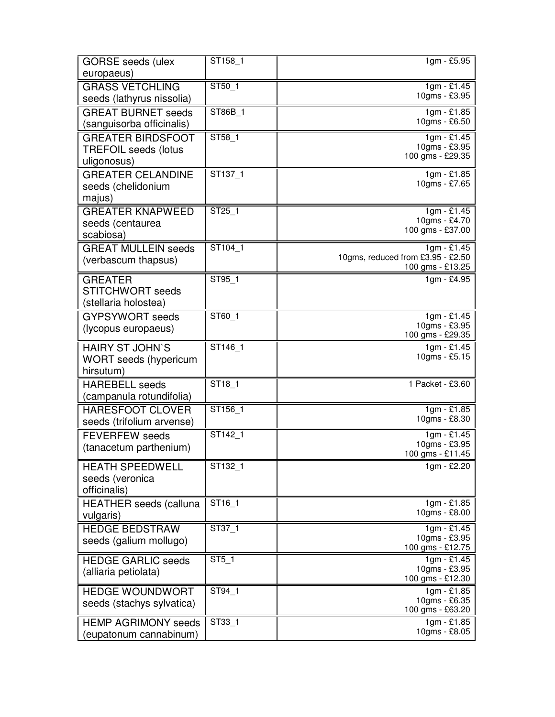| <b>GORSE</b> seeds (ulex                             | ST158_1                    | 1gm - £5.95                               |
|------------------------------------------------------|----------------------------|-------------------------------------------|
| europaeus)                                           |                            |                                           |
| <b>GRASS VETCHLING</b>                               | ST50 1                     | $1gm - £1.45$<br>10gms - £3.95            |
| seeds (lathyrus nissolia)                            |                            |                                           |
| <b>GREAT BURNET seeds</b>                            | ST86B_1                    | 1gm - £1.85<br>10gms - £6.50              |
| (sanguisorba officinalis)                            |                            |                                           |
| <b>GREATER BIRDSFOOT</b>                             | ST58_1                     | 1gm - £1.45<br>10gms - £3.95              |
| <b>TREFOIL seeds (lotus</b>                          |                            | 100 gms - £29.35                          |
| uligonosus)                                          | ST137 1                    |                                           |
| <b>GREATER CELANDINE</b>                             |                            | 1gm - £1.85<br>10gms - £7.65              |
| seeds (chelidonium<br>majus)                         |                            |                                           |
| <b>GREATER KNAPWEED</b>                              | ST25_1                     | 1gm - £1.45                               |
| seeds (centaurea                                     |                            | 10gms - £4.70                             |
| scabiosa)                                            |                            | 100 gms - £37.00                          |
| <b>GREAT MULLEIN seeds</b>                           | ST104 1                    | $1gm - £1.45$                             |
| (verbascum thapsus)                                  |                            | 10gms, reduced from £3.95 - £2.50         |
|                                                      |                            | 100 gms - £13.25                          |
| <b>GREATER</b><br><b>STITCHWORT</b> seeds            | ST95 1                     | 1gm - £4.95                               |
| (stellaria holostea)                                 |                            |                                           |
| <b>GYPSYWORT</b> seeds                               | ST60_1                     | 1gm - £1.45                               |
| (lycopus europaeus)                                  |                            | 10gms - £3.95                             |
|                                                      |                            | 100 gms - £29.35                          |
| <b>HAIRY ST JOHN'S</b>                               | ST146_1                    | $1gm - £1.45$<br>10gms - £5.15            |
| <b>WORT</b> seeds (hypericum                         |                            |                                           |
| hirsutum)                                            |                            |                                           |
| <b>HAREBELL</b> seeds                                | ST <sub>18_1</sub>         | 1 Packet - £3.60                          |
| (campanula rotundifolia)                             |                            |                                           |
| <b>HARESFOOT CLOVER</b><br>seeds (trifolium arvense) | ST156_1                    | 1gm - £1.85<br>10gms - £8.30              |
| <b>FEVERFEW</b> seeds                                | ST142_1                    | 1gm - £1.45                               |
| (tanacetum parthenium)                               |                            | 10gms - £3.95                             |
|                                                      |                            | 100 gms - £11.45                          |
| <b>HEATH SPEEDWELL</b>                               | ST132 1                    | 1gm - £2.20                               |
| seeds (veronica                                      |                            |                                           |
| officinalis)                                         |                            |                                           |
| <b>HEATHER</b> seeds (calluna                        | ST <sub>16_1</sub>         | 1gm - £1.85<br>10gms - £8.00              |
| vulgaris)                                            |                            |                                           |
| <b>HEDGE BEDSTRAW</b>                                | $\overline{\text{ST37}}$ 1 | $\frac{1}{1}$ gm - £1.45<br>10gms - £3.95 |
| seeds (galium mollugo)                               |                            | 100 gms - £12.75                          |
| <b>HEDGE GARLIC seeds</b>                            | ST5 1                      | $1gm - £1.45$                             |
| (alliaria petiolata)                                 |                            | 10gms - £3.95                             |
| <b>HEDGE WOUNDWORT</b>                               | ST94_1                     | 100 gms - £12.30<br>1gm - £1.85           |
| seeds (stachys sylvatica)                            |                            | 10gms - £6.35                             |
|                                                      |                            | 100 gms - £63.20                          |
| <b>HEMP AGRIMONY seeds</b>                           | ST33_1                     | $1gm - £1.85$                             |
| (eupatonum cannabinum)                               |                            | 10gms - £8.05                             |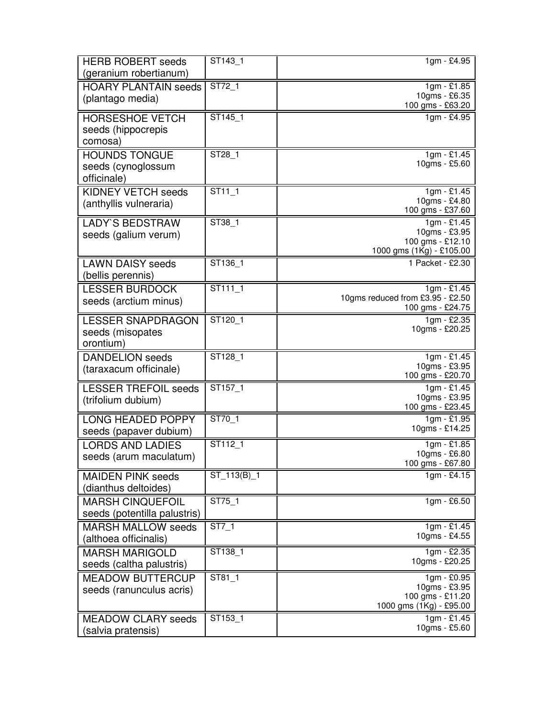| <b>HERB ROBERT seeds</b><br>(geranium robertianum) | $\overline{\text{ST}143}$ _1 | 1gm - £4.95                                          |
|----------------------------------------------------|------------------------------|------------------------------------------------------|
|                                                    | ST72 1                       | $1gm - £1.85$                                        |
| <b>HOARY PLANTAIN seeds</b><br>(plantago media)    |                              | 10gms - £6.35<br>100 gms - £63.20                    |
| <b>HORSESHOE VETCH</b>                             | ST145_1                      | 1gm - £4.95                                          |
| seeds (hippocrepis                                 |                              |                                                      |
| comosa)                                            |                              |                                                      |
| <b>HOUNDS TONGUE</b>                               | ST28_1                       | 1gm - £1.45<br>10gms - £5.60                         |
| seeds (cynoglossum<br>officinale)                  |                              |                                                      |
| <b>KIDNEY VETCH seeds</b>                          | $ST11_1$                     | 1gm - £1.45                                          |
| (anthyllis vulneraria)                             |                              | 10gms - £4.80<br>100 gms - £37.60                    |
| <b>LADY'S BEDSTRAW</b>                             | $ST38-1$                     | $1gm - £1.45$                                        |
| seeds (galium verum)                               |                              | 10gms - £3.95                                        |
|                                                    |                              | 100 gms - £12.10<br>1000 gms (1Kg) - £105.00         |
| <b>LAWN DAISY seeds</b>                            | ST136_1                      | 1 Packet - £2.30                                     |
| (bellis perennis)                                  |                              |                                                      |
| <b>LESSER BURDOCK</b>                              | ST111_1                      | 1gm - £1.45                                          |
| seeds (arctium minus)                              |                              | 10gms reduced from £3.95 - £2.50<br>100 gms - £24.75 |
| <b>LESSER SNAPDRAGON</b>                           | ST120_1                      | 1gm - £2.35                                          |
| seeds (misopates                                   |                              | 10gms - £20.25                                       |
| orontium)                                          |                              |                                                      |
| <b>DANDELION</b> seeds                             | ST128_1                      | $1gm - £1.45$                                        |
| (taraxacum officinale)                             |                              | 10gms - £3.95<br>100 gms - £20.70                    |
| <b>LESSER TREFOIL seeds</b>                        | ST157_1                      | $1gm - £1.45$                                        |
| (trifolium dubium)                                 |                              | 10gms - £3.95                                        |
|                                                    |                              | 100 gms - £23.45                                     |
| <b>LONG HEADED POPPY</b>                           | ST70_1                       | $1gm - £1.95$<br>10gms - £14.25                      |
| seeds (papaver dubium)                             |                              |                                                      |
| <b>LORDS AND LADIES</b>                            | ST112_1                      | 1gm - £1.85<br>10gms - £6.80                         |
| seeds (arum maculatum)                             |                              | 100 gms - £67.80                                     |
| <b>MAIDEN PINK seeds</b><br>(dianthus deltoides)   | ST_113(B)_1                  | $1gm - £4.15$                                        |
| <b>MARSH CINQUEFOIL</b>                            | ST75_1                       | 1gm - £6.50                                          |
| seeds (potentilla palustris)                       |                              |                                                      |
| <b>MARSH MALLOW seeds</b>                          | $ST7_1$                      | $1gm - £1.45$                                        |
| (althoea officinalis)                              |                              | 10gms - £4.55                                        |
| <b>MARSH MARIGOLD</b>                              | ST138_1                      | 1gm - £2.35                                          |
| seeds (caltha palustris)                           |                              | 10gms - £20.25                                       |
| <b>MEADOW BUTTERCUP</b>                            | ST81_1                       | 1gm - £0.95                                          |
| seeds (ranunculus acris)                           |                              | 10gms - £3.95<br>100 gms - £11.20                    |
|                                                    |                              | 1000 gms (1Kg) - £95.00                              |
| <b>MEADOW CLARY seeds</b>                          | ST153_1                      | $1gm - £1.45$                                        |
| (salvia pratensis)                                 |                              | 10gms - £5.60                                        |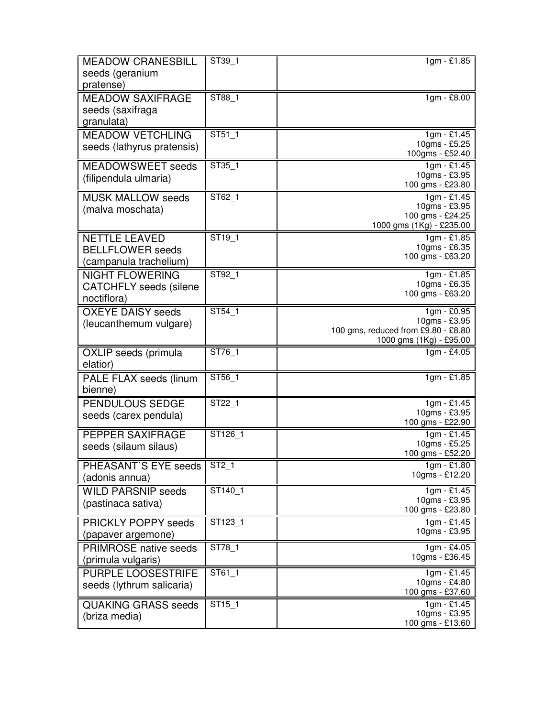| <b>MEADOW CRANESBILL</b>                    | ST39_1               | 1gm - £1.85                             |
|---------------------------------------------|----------------------|-----------------------------------------|
| seeds (geranium                             |                      |                                         |
| pratense)                                   |                      |                                         |
| <b>MEADOW SAXIFRAGE</b>                     | ST88 1               | $1gm - £8.00$                           |
| seeds (saxifraga                            |                      |                                         |
| granulata)                                  |                      |                                         |
| <b>MEADOW VETCHLING</b>                     | ST51 1               | $1gm - £1.45$                           |
| seeds (lathyrus pratensis)                  |                      | 10gms - £5.25                           |
|                                             |                      | 100gms - £52.40                         |
| <b>MEADOWSWEET</b> seeds                    | $\overline{ST35}$ _1 | 1gm - £1.45<br>10gms - £3.95            |
| (filipendula ulmaria)                       |                      | 100 gms - £23.80                        |
| <b>MUSK MALLOW seeds</b>                    | ST62 1               | $1gm - £1.45$                           |
| (malva moschata)                            |                      | 10gms - £3.95                           |
|                                             |                      | 100 gms - £24.25                        |
| <b>NETTLE LEAVED</b>                        | ST19 1               | 1000 gms (1Kg) - £235.00<br>1gm - £1.85 |
| <b>BELLFLOWER</b> seeds                     |                      | 10gms - £6.35                           |
| (campanula trachelium)                      |                      | 100 gms - £63.20                        |
| <b>NIGHT FLOWERING</b>                      | ST92_1               | 1gm - £1.85                             |
| <b>CATCHFLY</b> seeds (silene               |                      | 10gms - £6.35                           |
| noctiflora)                                 |                      | 100 gms - £63.20                        |
| <b>OXEYE DAISY seeds</b>                    | ST54 1               | 1gm - £0.95                             |
|                                             |                      | 10gms - £3.95                           |
| (leucanthemum vulgare)                      |                      | 100 gms, reduced from £9.80 - £8.80     |
|                                             |                      | 1000 gms (1Kg) - £95.00                 |
|                                             |                      |                                         |
| OXLIP seeds (primula                        | ST76 1               | 1gm - £4.05                             |
| elatior)                                    |                      |                                         |
| PALE FLAX seeds (linum                      | ST56 1               | 1gm - £1.85                             |
| bienne)                                     |                      |                                         |
| PENDULOUS SEDGE                             | ST22_1               | 1gm - £1.45                             |
| seeds (carex pendula)                       |                      | 10gms - £3.95                           |
|                                             |                      | 100 gms - £22.90                        |
| PEPPER SAXIFRAGE                            | ST126_1              | 1gm - £1.45<br>10gms - £5.25            |
| seeds (silaum silaus)                       |                      | 100 gms - £52.20                        |
| PHEASANT'S EYE seeds                        | $ST2_1$              | 1gm - £1.80                             |
| (adonis annua)                              |                      | 10gms - £12.20                          |
| <b>WILD PARSNIP seeds</b>                   | ST140_1              | 1gm - £1.45                             |
| (pastinaca sativa)                          |                      | 10gms - £3.95                           |
|                                             |                      | 100 gms - £23.80                        |
| <b>PRICKLY POPPY seeds</b>                  | ST123_1              | $1gm - £1.45$                           |
| (papaver argemone)                          |                      | 10gms - £3.95                           |
| <b>PRIMROSE</b> native seeds                | ST78 1               | $1gm - £4.05$                           |
| (primula vulgaris)                          |                      | 10gms - £36.45                          |
| <b>PURPLE LOOSESTRIFE</b>                   | ST61_1               | 1gm - £1.45                             |
| seeds (lythrum salicaria)                   |                      | 10gms - £4.80                           |
|                                             |                      | 100 gms - £37.60                        |
| <b>QUAKING GRASS seeds</b><br>(briza media) | ST15_1               | $1gm - £1.45$<br>10gms - £3.95          |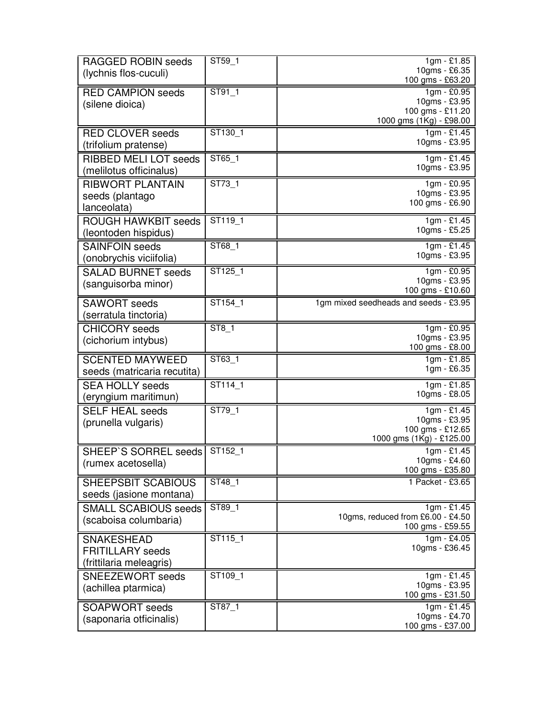| RAGGED ROBIN seeds<br>(lychnis flos-cuculi)                             | ST59_1    | 1gm - £1.85<br>10gms - £6.35<br>100 gms - £63.20                               |
|-------------------------------------------------------------------------|-----------|--------------------------------------------------------------------------------|
| <b>RED CAMPION seeds</b><br>(silene dioica)                             | ST91 1    | 1gm - £0.95<br>10gms - £3.95<br>100 gms - £11.20<br>1000 gms (1Kg) - £98.00    |
| <b>RED CLOVER seeds</b><br>(trifolium pratense)                         | ST130_1   | $1gm - £1.45$<br>10gms - £3.95                                                 |
| <b>RIBBED MELI LOT seeds</b><br>melilotus officinalus)                  | ST65_1    | $1gm - £1.45$<br>10gms - £3.95                                                 |
| <b>RIBWORT PLANTAIN</b><br>seeds (plantago<br>lanceolata)               | ST73 1    | 1gm - £0.95<br>10gms - £3.95<br>100 gms - £6.90                                |
| <b>ROUGH HAWKBIT</b> seeds<br>(leontoden hispidus)                      | ST119 1   | $1gm - £1.45$<br>10gms - £5.25                                                 |
| <b>SAINFOIN seeds</b><br>(onobrychis viciifolia)                        | ST68_1    | $1gm - £1.45$<br>10gms - £3.95                                                 |
| <b>SALAD BURNET seeds</b><br>(sanguisorba minor)                        | ST125 1   | 1gm - £0.95<br>10gms - £3.95<br>100 gms - £10.60                               |
| <b>SAWORT</b> seeds<br>(serratula tinctoria)                            | ST154 1   | 1gm mixed seedheads and seeds - £3.95                                          |
| <b>CHICORY</b> seeds<br>(cichorium intybus)                             | ST8_1     | 1gm - £0.95<br>10gms - £3.95<br>100 gms - £8.00                                |
| <b>SCENTED MAYWEED</b><br>seeds (matricaria recutita)                   | $ST63$ _1 | $1gm - £1.85$<br>1gm - £6.35                                                   |
| <b>SEA HOLLY seeds</b><br>(eryngium maritimun)                          | ST114 1   | 1gm - £1.85<br>10gms - £8.05                                                   |
| <b>SELF HEAL seeds</b><br>(prunella vulgaris)                           | ST79 1    | $1gm - £1.45$<br>10gms - £3.95<br>100 gms - £12.65<br>1000 gms (1Kg) - £125.00 |
| <b>SHEEP'S SORREL seeds</b><br>(rumex acetosella)                       | ST152_1   | $1gm - £1.45$<br>10gms - £4.60<br>100 gms - £35.80                             |
| SHEEPSBIT SCABIOUS<br>seeds (jasione montana)                           | ST48 1    | 1 Packet - £3.65                                                               |
| <b>SMALL SCABIOUS seeds</b><br>(scaboisa columbaria)                    | ST89_1    | $1gm - £1.45$<br>10gms, reduced from £6.00 - £4.50<br>100 gms - £59.55         |
| <b>SNAKESHEAD</b><br><b>FRITILLARY</b> seeds<br>(frittilaria meleagris) | ST115_1   | $1gm - £4.05$<br>10gms - £36.45                                                |
| SNEEZEWORT seeds<br>(achillea ptarmica)                                 | ST109_1   | $1gm - £1.45$<br>10gms - £3.95<br>100 gms - £31.50                             |
| <b>SOAPWORT</b> seeds<br>(saponaria otficinalis)                        | ST87 1    | $1gm - £1.45$<br>10gms - £4.70<br>100 gms - £37.00                             |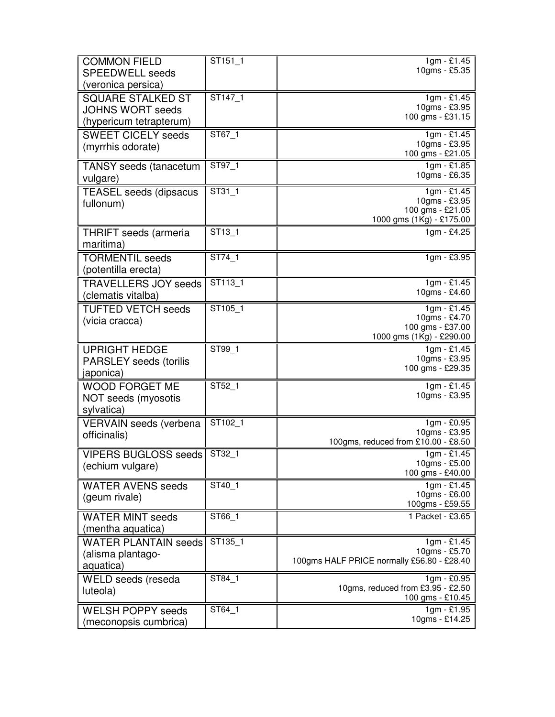| <b>COMMON FIELD</b><br><b>SPEEDWELL seeds</b>                                  | ST151_1              | 1gm - £1.45<br>10gms - £5.35                                                 |
|--------------------------------------------------------------------------------|----------------------|------------------------------------------------------------------------------|
| (veronica persica)                                                             |                      |                                                                              |
| <b>SQUARE STALKED ST</b><br><b>JOHNS WORT seeds</b><br>(hypericum tetrapterum) | ST147 1              | $1gm - £1.45$<br>10gms - £3.95<br>100 gms - £31.15                           |
| <b>SWEET CICELY seeds</b><br>(myrrhis odorate)                                 | ST67_1               | 1gm - £1.45<br>10gms - £3.95<br>100 gms - £21.05                             |
| <b>TANSY</b> seeds (tanacetum<br>vulgare)                                      | ST97_1               | 1gm - £1.85<br>10gms - £6.35                                                 |
| <b>TEASEL seeds (dipsacus</b><br>fullonum)                                     | $ST31_1$             | 1gm - £1.45<br>10gms - £3.95<br>100 gms - £21.05<br>1000 gms (1Kg) - £175.00 |
| <b>THRIFT</b> seeds (armeria<br>maritima)                                      | ST13 1               | $1gm - £4.25$                                                                |
| <b>TORMENTIL seeds</b><br>(potentilla erecta)                                  | ST74 1               | 1gm - £3.95                                                                  |
| <b>TRAVELLERS JOY seeds</b><br>(clematis vitalba)                              | ST113_1              | $\frac{1}{1}$ gm - £1.45<br>10gms - £4.60                                    |
| <b>TUFTED VETCH seeds</b><br>(vicia cracca)                                    | ST105_1              | 1gm - £1.45<br>10gms - £4.70<br>100 gms - £37.00<br>1000 gms (1Kg) - £290.00 |
| <b>UPRIGHT HEDGE</b><br><b>PARSLEY</b> seeds (torilis<br>japonica)             | ST99_1               | 1gm - £1.45<br>10gms - £3.95<br>100 gms - £29.35                             |
| <b>WOOD FORGET ME</b><br>NOT seeds (myosotis<br>sylvatica)                     | ST52_1               | 1gm - £1.45<br>10gms - £3.95                                                 |
| VERVAIN seeds (verbena<br>officinalis)                                         | ST102_1              | 1gm - £0.95<br>10gms - £3.95<br>100gms, reduced from £10.00 - £8.50          |
| <b>VIPERS BUGLOSS seeds</b><br>(echium vulgare)                                | $\overline{ST32}$ _1 | $1gm - £1.45$<br>10gms - £5.00<br>100 gms - £40.00                           |
| <b>WATER AVENS seeds</b><br>(geum rivale)                                      | ST40 1               | 1gm - £1.45<br>10gms - £6.00<br>100gms - £59.55                              |
| <b>WATER MINT seeds</b><br>(mentha aquatica)                                   | ST66_1               | 1 Packet - £3.65                                                             |
| <b>WATER PLANTAIN seeds</b><br>(alisma plantago-<br>aquatica)                  | ST135_1              | $1gm - £1.45$<br>10gms - £5.70<br>100gms HALF PRICE normally £56.80 - £28.40 |
| WELD seeds (reseda<br>luteola)                                                 | ST84 1               | 1gm - £0.95<br>10gms, reduced from £3.95 - £2.50<br>100 gms - £10.45         |
| <b>WELSH POPPY seeds</b><br>(meconopsis cumbrica)                              | ST64_1               | 1gm - £1.95<br>10gms - £14.25                                                |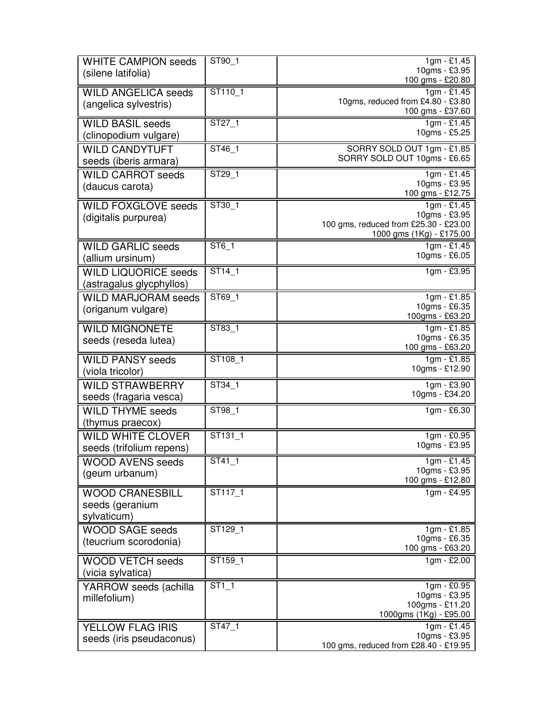| <b>WHITE CAMPION seeds</b><br>(silene latifolia)         | ST90_1                      | $1gm - £1.45$<br>10gms - £3.95<br>100 gms - £20.80                                                  |
|----------------------------------------------------------|-----------------------------|-----------------------------------------------------------------------------------------------------|
| <b>WILD ANGELICA seeds</b><br>(angelica sylvestris)      | ST110_1                     | 1gm - £1.45<br>10gms, reduced from £4.80 - £3.80<br>100 gms - £37.60                                |
| <b>WILD BASIL seeds</b><br>(clinopodium vulgare)         | $\overline{\text{ST27}}$ _1 | $1gm - £1.45$<br>10gms - £5.25                                                                      |
| <b>WILD CANDYTUFT</b><br>seeds (iberis armara)           | ST46_1                      | SORRY SOLD OUT 1gm - £1.85<br>SORRY SOLD OUT 10gms - £6.65                                          |
| <b>WILD CARROT seeds</b><br>(daucus carota)              | ST29_1                      | 1gm - £1.45<br>10gms - £3.95<br>100 gms - £12.75                                                    |
| <b>WILD FOXGLOVE seeds</b><br>(digitalis purpurea)       | ST30 1                      | $1gm - £1.45$<br>10gms - £3.95<br>100 gms, reduced from £25.30 - £23.00<br>1000 gms (1Kg) - £175.00 |
| <b>WILD GARLIC seeds</b><br>(allium ursinum)             | ST6_1                       | $1gm - £1.45$<br>10gms - £6.05                                                                      |
| <b>WILD LIQUORICE seeds</b><br>(astragalus glycphyllos)  | ST14 1                      | 1gm - £3.95                                                                                         |
| <b>WILD MARJORAM seeds</b><br>(origanum vulgare)         | ST69_1                      | $1gm - £1.85$<br>10gms - £6.35<br>100gms - £63.20                                                   |
| <b>WILD MIGNONETE</b><br>seeds (reseda lutea)            | ST83 1                      | 1gm - £1.85<br>10gms - £6.35<br>100 gms - £63.20                                                    |
| <b>WILD PANSY seeds</b><br>(viola tricolor)              | ST108 1                     | 1gm - £1.85<br>10gms - £12.90                                                                       |
| <b>WILD STRAWBERRY</b><br>seeds (fragaria vesca)         | ST34 1                      | 1gm - £3.90<br>10gms - £34.20                                                                       |
| <b>WILD THYME seeds</b><br>(thymus praecox)              | ST98 1                      | 1gm - £6.30                                                                                         |
| <b>WILD WHITE CLOVER</b><br>seeds (trifolium repens)     | ST131 1                     | 1gm - £0.95<br>10gms - £3.95                                                                        |
| <b>WOOD AVENS seeds</b><br>(geum urbanum)                | $ST41_1$                    | $1gm - £1.45$<br>10gms - £3.95<br>100 gms - £12.80                                                  |
| <b>WOOD CRANESBILL</b><br>seeds (geranium<br>sylvaticum) | ST117 1                     | 1gm - £4.95                                                                                         |
| <b>WOOD SAGE seeds</b><br>(teucrium scorodonia)          | ST129 1                     | 1gm - £1.85<br>10gms - £6.35<br>100 gms - £63.20                                                    |
| <b>WOOD VETCH seeds</b><br>(vicia sylvatica)             | ST159 1                     | $1gm - £2.00$                                                                                       |
| YARROW seeds (achilla<br>millefolium)                    | $ST1_1$                     | $1gm - \overline{£0.95}$<br>10gms - £3.95<br>100gms - £11.20<br>1000gms (1Kg) - £95.00              |
| YELLOW FLAG IRIS<br>seeds (iris pseudaconus)             | ST47 <sub>1</sub>           | $1gm - 1.45$<br>10gms - £3.95<br>100 gms, reduced from £28.40 - £19.95                              |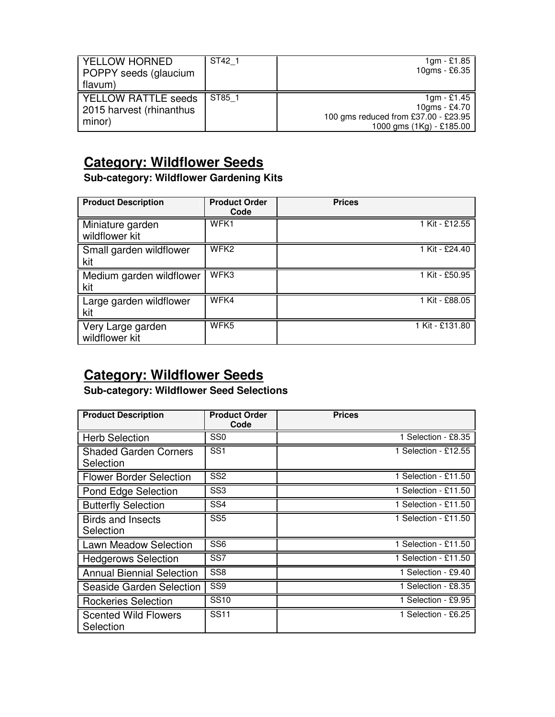| YELLOW HORNED<br>POPPY seeds (glaucium<br>flavum)                  | ST42 1 | $1gm - £1.85$<br>10gms - £6.35                                                                     |
|--------------------------------------------------------------------|--------|----------------------------------------------------------------------------------------------------|
| <b>I YELLOW RATTLE seeds</b><br>2015 harvest (rhinanthus<br>minor) | ST85 1 | $1gm - £1.45$<br>10gms - £4.70<br>100 gms reduced from £37.00 - £23.95<br>1000 gms (1Kg) - £185.00 |

### **Category: Wildflower Seeds**

**Sub-category: Wildflower Gardening Kits** 

| <b>Product Description</b>          | <b>Product Order</b><br>Code | <b>Prices</b>               |
|-------------------------------------|------------------------------|-----------------------------|
| Miniature garden<br>wildflower kit  | WFK1                         | $1$ Kit - £12.55            |
| Small garden wildflower<br>kit      | WFK <sub>2</sub>             | $\overline{1}$ Kit - £24.40 |
| Medium garden wildflower<br>kit     | WFK3                         | 1 Kit - £50.95              |
| Large garden wildflower<br>kit      | WFK4                         | 1 Kit - £88.05              |
| Very Large garden<br>wildflower kit | WFK <sub>5</sub>             | 1 Kit - £131.80             |

# **Category: Wildflower Seeds**

**Sub-category: Wildflower Seed Selections** 

| <b>Product Description</b>                | <b>Product Order</b><br>Code | <b>Prices</b>        |
|-------------------------------------------|------------------------------|----------------------|
| <b>Herb Selection</b>                     | SS <sub>0</sub>              | 1 Selection - £8.35  |
| <b>Shaded Garden Corners</b><br>Selection | SS <sub>1</sub>              | 1 Selection - £12.55 |
| <b>Flower Border Selection</b>            | SS <sub>2</sub>              | 1 Selection - £11.50 |
| Pond Edge Selection                       | SS <sub>3</sub>              | 1 Selection - £11.50 |
| <b>Butterfly Selection</b>                | SS4                          | 1 Selection - £11.50 |
| <b>Birds and Insects</b><br>Selection     | $\overline{\text{SS5}}$      | 1 Selection - £11.50 |
| <b>Lawn Meadow Selection</b>              | $\overline{\text{SS6}}$      | 1 Selection - £11.50 |
| <b>Hedgerows Selection</b>                | SS7                          | 1 Selection - £11.50 |
| <b>Annual Biennial Selection</b>          | SS <sub>8</sub>              | 1 Selection - £9.40  |
| Seaside Garden Selection                  | SS <sub>9</sub>              | 1 Selection - £8.35  |
| <b>Rockeries Selection</b>                | <b>SS10</b>                  | 1 Selection - £9.95  |
| <b>Scented Wild Flowers</b><br>Selection  | <b>SS11</b>                  | 1 Selection - £6.25  |